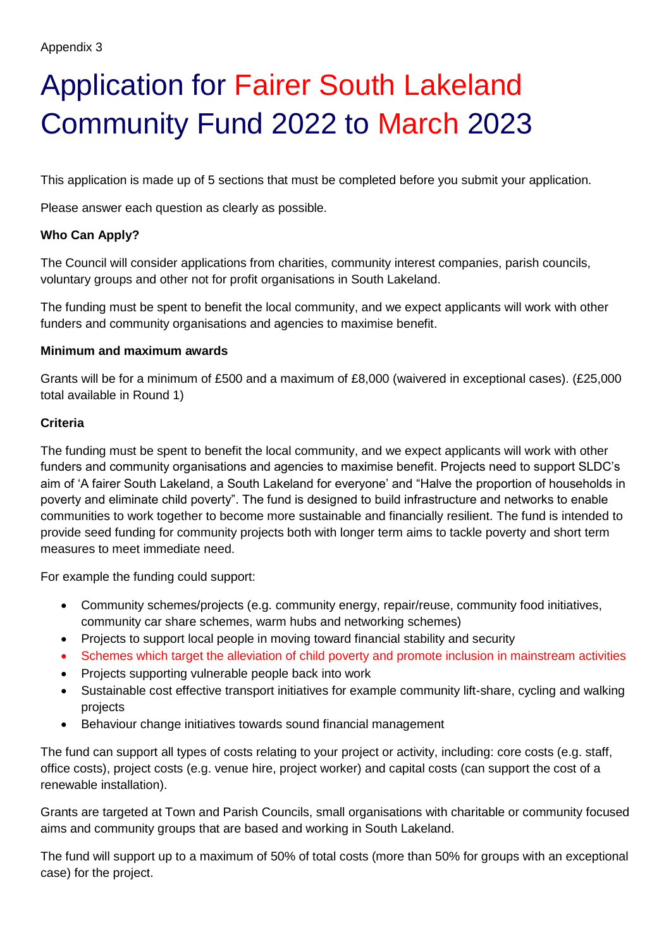# Application for Fairer South Lakeland Community Fund 2022 to March 2023

This application is made up of 5 sections that must be completed before you submit your application.

Please answer each question as clearly as possible.

### **Who Can Apply?**

The Council will consider applications from charities, community interest companies, parish councils, voluntary groups and other not for profit organisations in South Lakeland.

The funding must be spent to benefit the local community, and we expect applicants will work with other funders and community organisations and agencies to maximise benefit.

### **Minimum and maximum awards**

Grants will be for a minimum of £500 and a maximum of £8,000 (waivered in exceptional cases). (£25,000 total available in Round 1)

### **Criteria**

The funding must be spent to benefit the local community, and we expect applicants will work with other funders and community organisations and agencies to maximise benefit. Projects need to support SLDC's aim of 'A fairer South Lakeland, a South Lakeland for everyone' and "Halve the proportion of households in poverty and eliminate child poverty". The fund is designed to build infrastructure and networks to enable communities to work together to become more sustainable and financially resilient. The fund is intended to provide seed funding for community projects both with longer term aims to tackle poverty and short term measures to meet immediate need.

For example the funding could support:

- Community schemes/projects (e.g. community energy, repair/reuse, community food initiatives, community car share schemes, warm hubs and networking schemes)
- Projects to support local people in moving toward financial stability and security
- Schemes which target the alleviation of child poverty and promote inclusion in mainstream activities
- Projects supporting vulnerable people back into work
- Sustainable cost effective transport initiatives for example community lift-share, cycling and walking projects
- Behaviour change initiatives towards sound financial management

The fund can support all types of costs relating to your project or activity, including: core costs (e.g. staff, office costs), project costs (e.g. venue hire, project worker) and capital costs (can support the cost of a renewable installation).

Grants are targeted at Town and Parish Councils, small organisations with charitable or community focused aims and community groups that are based and working in South Lakeland.

The fund will support up to a maximum of 50% of total costs (more than 50% for groups with an exceptional case) for the project.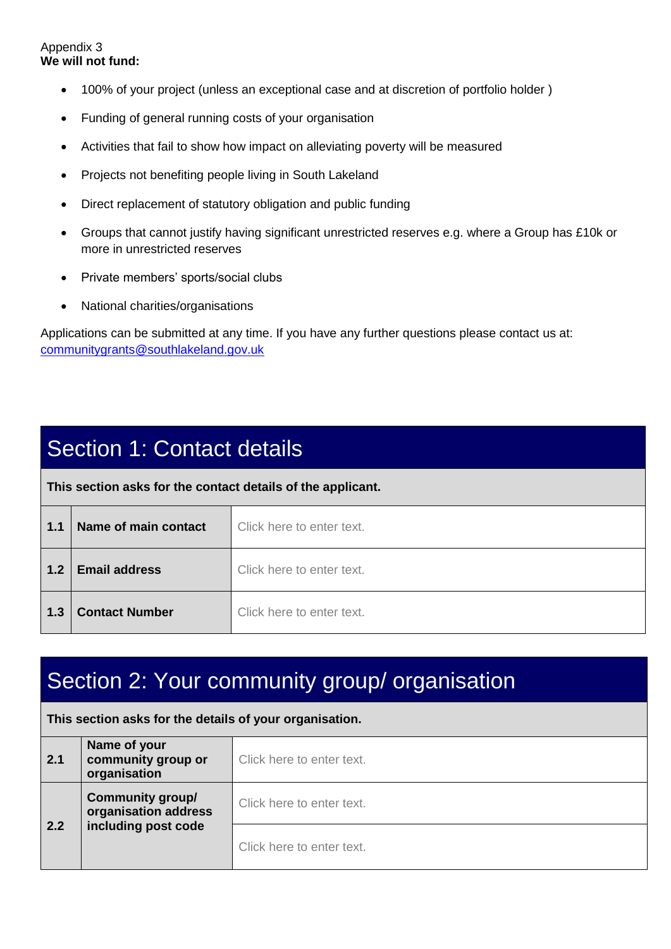#### Appendix 3 **We will not fund:**

- 100% of your project (unless an exceptional case and at discretion of portfolio holder )
- Funding of general running costs of your organisation
- Activities that fail to show how impact on alleviating poverty will be measured
- Projects not benefiting people living in South Lakeland
- Direct replacement of statutory obligation and public funding
- Groups that cannot justify having significant unrestricted reserves e.g. where a Group has £10k or more in unrestricted reserves
- Private members' sports/social clubs
- National charities/organisations

Applications can be submitted at any time. If you have any further questions please contact us at: [communitygrants@southlakeland.gov.uk](mailto:communitygrants@southlakeland.gov.uk)

### Section 1: Contact details

**This section asks for the contact details of the applicant.** 

| 1.1 | Name of main contact  | Click here to enter text. |
|-----|-----------------------|---------------------------|
| 1.2 | <b>Email address</b>  | Click here to enter text. |
| 1.3 | <b>Contact Number</b> | Click here to enter text. |

### Section 2: Your community group/ organisation

#### **This section asks for the details of your organisation.**

| 2.1 | Name of your<br>community group or<br>organisation | Click here to enter text. |
|-----|----------------------------------------------------|---------------------------|
|     | <b>Community group/</b><br>organisation address    | Click here to enter text. |
| 2.2 | including post code                                | Click here to enter text. |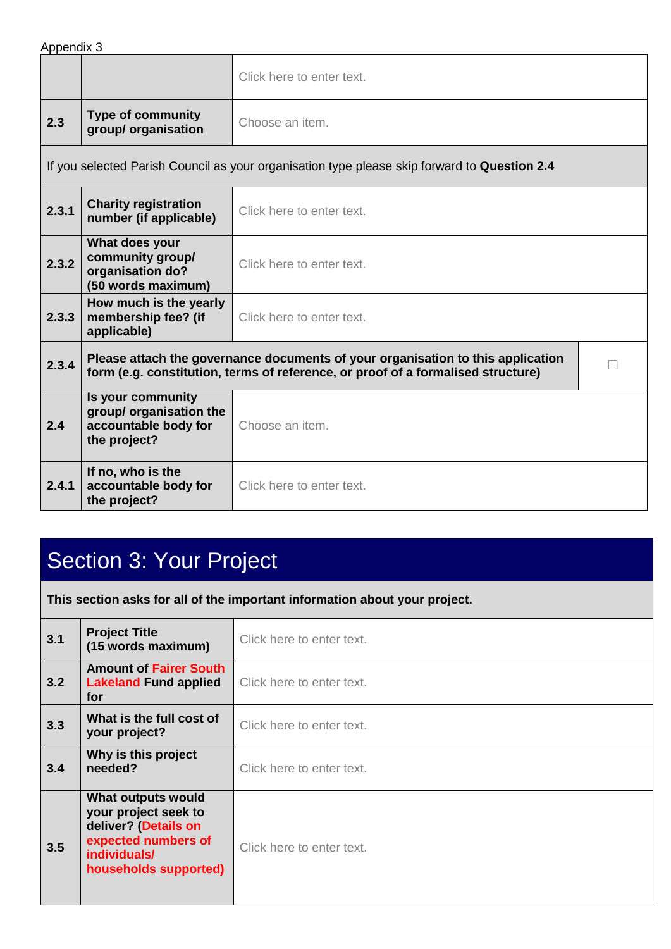Appendix 3

|       |                                                                                      | Click here to enter text.                                                                                                                                           |  |
|-------|--------------------------------------------------------------------------------------|---------------------------------------------------------------------------------------------------------------------------------------------------------------------|--|
| 2.3   | <b>Type of community</b><br>group/ organisation                                      | Choose an item.                                                                                                                                                     |  |
|       |                                                                                      | If you selected Parish Council as your organisation type please skip forward to Question 2.4                                                                        |  |
| 2.3.1 | <b>Charity registration</b><br>number (if applicable)                                | Click here to enter text.                                                                                                                                           |  |
| 2.3.2 | What does your<br>community group/<br>organisation do?<br>(50 words maximum)         | Click here to enter text.                                                                                                                                           |  |
| 2.3.3 | How much is the yearly<br>membership fee? (if<br>applicable)                         | Click here to enter text.                                                                                                                                           |  |
| 2.3.4 |                                                                                      | Please attach the governance documents of your organisation to this application<br>form (e.g. constitution, terms of reference, or proof of a formalised structure) |  |
| 2.4   | Is your community<br>group/ organisation the<br>accountable body for<br>the project? | Choose an item.                                                                                                                                                     |  |
| 2.4.1 | If no, who is the<br>accountable body for<br>the project?                            | Click here to enter text.                                                                                                                                           |  |

## Section 3: Your Project

**This section asks for all of the important information about your project.**

| 3.1 | <b>Project Title</b><br>(15 words maximum)                                                                                         | Click here to enter text. |
|-----|------------------------------------------------------------------------------------------------------------------------------------|---------------------------|
| 3.2 | <b>Amount of Fairer South</b><br><b>Lakeland Fund applied</b><br>for                                                               | Click here to enter text. |
| 3.3 | What is the full cost of<br>your project?                                                                                          | Click here to enter text. |
| 3.4 | Why is this project<br>needed?                                                                                                     | Click here to enter text. |
| 3.5 | What outputs would<br>your project seek to<br>deliver? (Details on<br>expected numbers of<br>individuals/<br>households supported) | Click here to enter text. |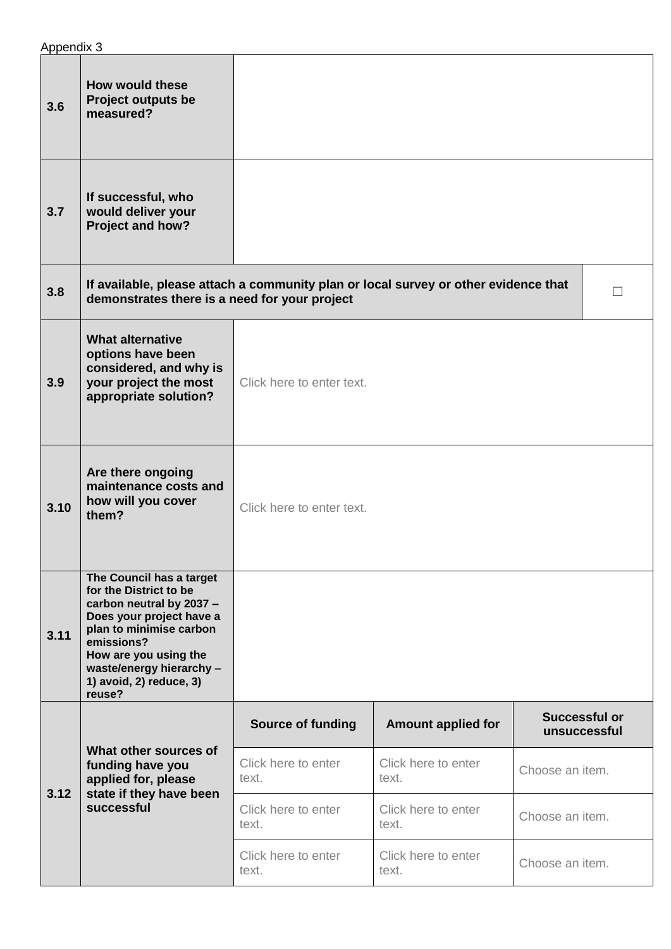| 3.6  | <b>How would these</b><br><b>Project outputs be</b><br>measured?                                                                                                                                                                              |                              |                              |                               |                   |
|------|-----------------------------------------------------------------------------------------------------------------------------------------------------------------------------------------------------------------------------------------------|------------------------------|------------------------------|-------------------------------|-------------------|
| 3.7  | If successful, who<br>would deliver your<br>Project and how?                                                                                                                                                                                  |                              |                              |                               |                   |
| 3.8  | If available, please attach a community plan or local survey or other evidence that<br>demonstrates there is a need for your project                                                                                                          |                              |                              |                               | $\vert \ \ \vert$ |
| 3.9  | <b>What alternative</b><br>options have been<br>considered, and why is<br>your project the most<br>appropriate solution?                                                                                                                      | Click here to enter text.    |                              |                               |                   |
| 3.10 | Are there ongoing<br>maintenance costs and<br>how will you cover<br>them?                                                                                                                                                                     | Click here to enter text.    |                              |                               |                   |
| 3.11 | The Council has a target<br>for the District to be<br>carbon neutral by 2037 -<br>Does your project have a<br>plan to minimise carbon<br>emissions?<br>How are you using the<br>waste/energy hierarchy -<br>1) avoid, 2) reduce, 3)<br>reuse? |                              |                              |                               |                   |
|      | What other sources of<br>funding have you<br>applied for, please<br>state if they have been<br>successful                                                                                                                                     | <b>Source of funding</b>     | <b>Amount applied for</b>    | Successful or<br>unsuccessful |                   |
| 3.12 |                                                                                                                                                                                                                                               | Click here to enter<br>text. | Click here to enter<br>text. | Choose an item.               |                   |
|      |                                                                                                                                                                                                                                               | Click here to enter<br>text. | Click here to enter<br>text. | Choose an item.               |                   |
|      |                                                                                                                                                                                                                                               | Click here to enter<br>text. | Click here to enter<br>text. | Choose an item.               |                   |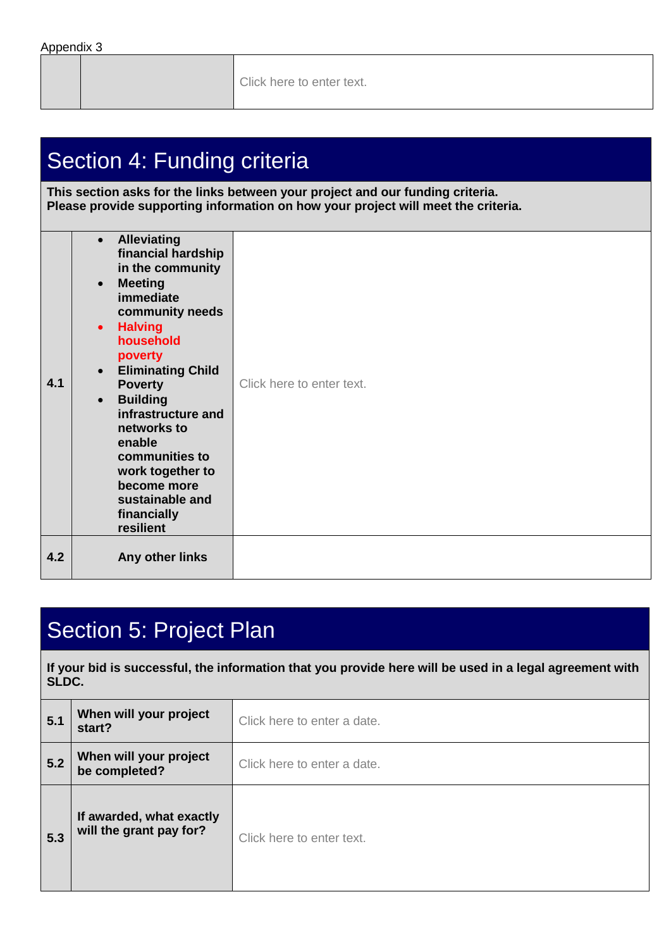Click here to enter text.

### Section 4: Funding criteria

**This section asks for the links between your project and our funding criteria. Please provide supporting information on how your project will meet the criteria.**

| 4.1 | <b>Alleviating</b><br>$\bullet$<br>financial hardship<br>in the community<br><b>Meeting</b><br>$\bullet$<br>immediate<br>community needs<br><b>Halving</b><br>$\bullet$<br>household<br>poverty<br><b>Eliminating Child</b><br>$\bullet$<br><b>Poverty</b><br><b>Building</b><br>$\bullet$<br>infrastructure and<br>networks to<br>enable<br>communities to<br>work together to<br>become more<br>sustainable and<br>financially<br>resilient | Click here to enter text. |
|-----|-----------------------------------------------------------------------------------------------------------------------------------------------------------------------------------------------------------------------------------------------------------------------------------------------------------------------------------------------------------------------------------------------------------------------------------------------|---------------------------|
| 4.2 | Any other links                                                                                                                                                                                                                                                                                                                                                                                                                               |                           |

### Section 5: Project Plan

**If your bid is successful, the information that you provide here will be used in a legal agreement with SLDC.** 

| 5.1 | When will your project<br>start?                    | Click here to enter a date. |
|-----|-----------------------------------------------------|-----------------------------|
| 5.2 | When will your project<br>be completed?             | Click here to enter a date. |
| 5.3 | If awarded, what exactly<br>will the grant pay for? | Click here to enter text.   |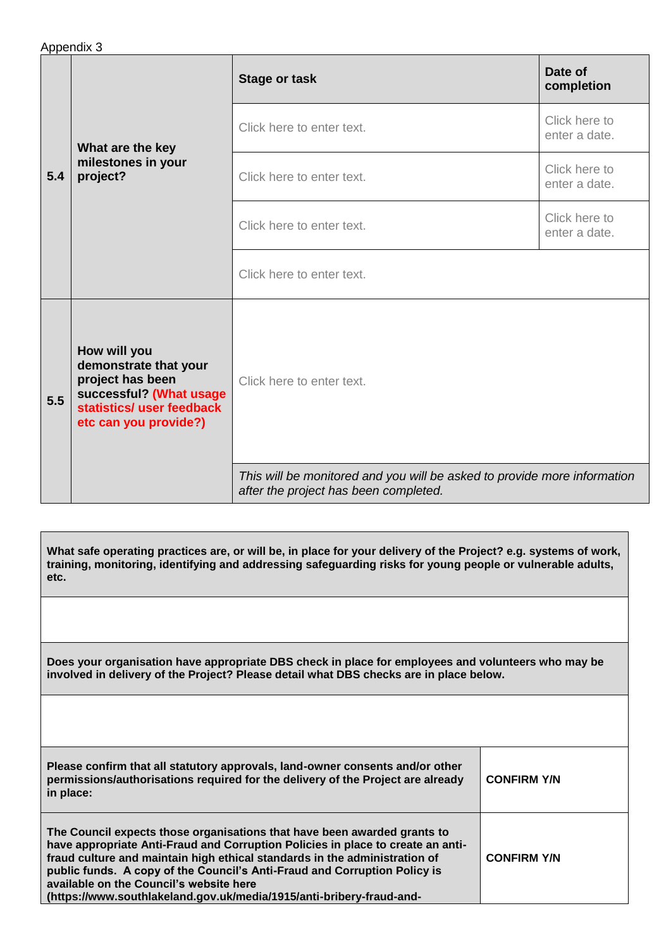| Appendix 3 |  |
|------------|--|
|------------|--|

| 5.4 | What are the key<br>milestones in your<br>project?                                                                                         | <b>Stage or task</b>                                                                                              | Date of<br>completion          |
|-----|--------------------------------------------------------------------------------------------------------------------------------------------|-------------------------------------------------------------------------------------------------------------------|--------------------------------|
|     |                                                                                                                                            | Click here to enter text.                                                                                         | Click here to<br>enter a date. |
|     |                                                                                                                                            | Click here to enter text.                                                                                         | Click here to<br>enter a date. |
|     |                                                                                                                                            | Click here to enter text.                                                                                         | Click here to<br>enter a date. |
|     |                                                                                                                                            | Click here to enter text.                                                                                         |                                |
| 5.5 | How will you<br>demonstrate that your<br>project has been<br>successful? (What usage<br>statistics/ user feedback<br>etc can you provide?) | Click here to enter text.                                                                                         |                                |
|     |                                                                                                                                            | This will be monitored and you will be asked to provide more information<br>after the project has been completed. |                                |

| What safe operating practices are, or will be, in place for your delivery of the Project? e.g. systems of work,<br>training, monitoring, identifying and addressing safeguarding risks for young people or vulnerable adults,<br>etc.                                                                                                                                                                                                     |                    |
|-------------------------------------------------------------------------------------------------------------------------------------------------------------------------------------------------------------------------------------------------------------------------------------------------------------------------------------------------------------------------------------------------------------------------------------------|--------------------|
|                                                                                                                                                                                                                                                                                                                                                                                                                                           |                    |
| Does your organisation have appropriate DBS check in place for employees and volunteers who may be<br>involved in delivery of the Project? Please detail what DBS checks are in place below.                                                                                                                                                                                                                                              |                    |
|                                                                                                                                                                                                                                                                                                                                                                                                                                           |                    |
| Please confirm that all statutory approvals, land-owner consents and/or other<br>permissions/authorisations required for the delivery of the Project are already<br>in place:                                                                                                                                                                                                                                                             | <b>CONFIRM Y/N</b> |
| The Council expects those organisations that have been awarded grants to<br>have appropriate Anti-Fraud and Corruption Policies in place to create an anti-<br>fraud culture and maintain high ethical standards in the administration of<br>public funds. A copy of the Council's Anti-Fraud and Corruption Policy is<br>available on the Council's website here<br>(https://www.southlakeland.gov.uk/media/1915/anti-bribery-fraud-and- | <b>CONFIRM Y/N</b> |